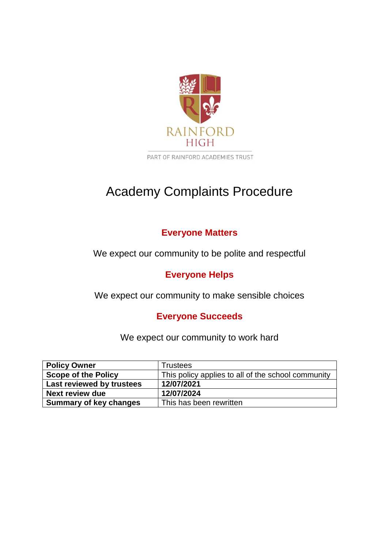

PART OF RAINFORD ACADEMIES TRUST

# Academy Complaints Procedure

# **Everyone Matters**

We expect our community to be polite and respectful

# **Everyone Helps**

We expect our community to make sensible choices

# **Everyone Succeeds**

We expect our community to work hard

| <b>Policy Owner</b>           | Trustees                                           |
|-------------------------------|----------------------------------------------------|
| <b>Scope of the Policy</b>    | This policy applies to all of the school community |
| Last reviewed by trustees     | 12/07/2021                                         |
| Next review due               | 12/07/2024                                         |
| <b>Summary of key changes</b> | This has been rewritten                            |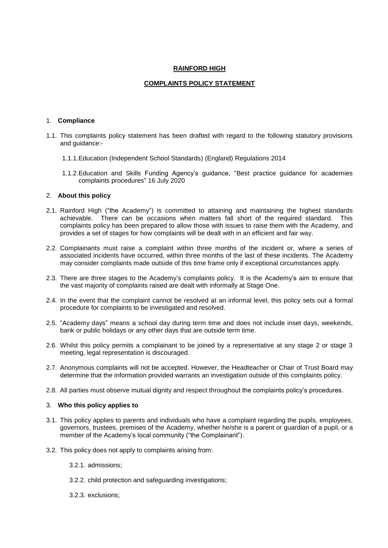#### **RAINFORD HIGH**

### **COMPLAINTS POLICY STATEMENT**

#### 1. **Compliance**

- 1.1. This complaints policy statement has been drafted with regard to the following statutory provisions and guidance:-
	- 1.1.1.Education (Independent School Standards) (England) Regulations 2014
	- 1.1.2.Education and Skills Funding Agency's guidance, "Best practice guidance for academies complaints procedures" 16 July 2020

### 2. **About this policy**

- 2.1. Rainford High ("the Academy") is committed to attaining and maintaining the highest standards achievable. There can be occasions when matters fall short of the required standard. This complaints policy has been prepared to allow those with issues to raise them with the Academy, and provides a set of stages for how complaints will be dealt with in an efficient and fair way.
- 2.2. Complainants must raise a complaint within three months of the incident or, where a series of associated incidents have occurred, within three months of the last of these incidents. The Academy may consider complaints made outside of this time frame only if exceptional circumstances apply.
- 2.3. There are three stages to the Academy's complaints policy. It is the Academy's aim to ensure that the vast majority of complaints raised are dealt with informally at Stage One.
- 2.4. In the event that the complaint cannot be resolved at an informal level, this policy sets out a formal procedure for complaints to be investigated and resolved.
- 2.5. "Academy days" means a school day during term time and does not include inset days, weekends, bank or public holidays or any other days that are outside term time.
- 2.6. Whilst this policy permits a complainant to be joined by a representative at any stage 2 or stage 3 meeting, legal representation is discouraged.
- 2.7. Anonymous complaints will not be accepted. However, the Headteacher or Chair of Trust Board may determine that the information provided warrants an investigation outside of this complaints policy.
- 2.8. All parties must observe mutual dignity and respect throughout the complaints policy's procedures.

#### 3. **Who this policy applies to**

- 3.1. This policy applies to parents and individuals who have a complaint regarding the pupils, employees, governors, trustees, premises of the Academy, whether he/she is a parent or guardian of a pupil, or a member of the Academy's local community ("the Complainant").
- 3.2. This policy does not apply to complaints arising from:
	- 3.2.1. admissions;
	- 3.2.2. child protection and safeguarding investigations;
	- 3.2.3. exclusions;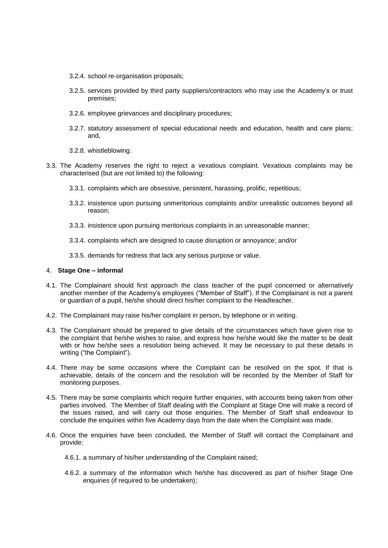- 3.2.4. school re-organisation proposals;
- 3.2.5. services provided by third party suppliers/contractors who may use the Academy's or trust premises;
- 3.2.6. employee grievances and disciplinary procedures;
- 3.2.7. statutory assessment of special educational needs and education, health and care plans; and,
- 3.2.8. whistleblowing.
- 3.3. The Academy reserves the right to reject a vexatious complaint. Vexatious complaints may be characterised (but are not limited to) the following:
	- 3.3.1. complaints which are obsessive, persistent, harassing, prolific, repetitious;
	- 3.3.2. insistence upon pursuing unmeritorious complaints and/or unrealistic outcomes beyond all reason;
	- 3.3.3. insistence upon pursuing meritorious complaints in an unreasonable manner;
	- 3.3.4. complaints which are designed to cause disruption or annoyance; and/or
	- 3.3.5. demands for redress that lack any serious purpose or value.

#### 4. **Stage One – informal**

- 4.1. The Complainant should first approach the class teacher of the pupil concerned or alternatively another member of the Academy's employees ("Member of Staff"). If the Complainant is not a parent or guardian of a pupil, he/she should direct his/her complaint to the Headteacher.
- 4.2. The Complainant may raise his/her complaint in person, by telephone or in writing.
- 4.3. The Complainant should be prepared to give details of the circumstances which have given rise to the complaint that he/she wishes to raise, and express how he/she would like the matter to be dealt with or how he/she sees a resolution being achieved. It may be necessary to put these details in writing ("the Complaint").
- 4.4. There may be some occasions where the Complaint can be resolved on the spot. If that is achievable, details of the concern and the resolution will be recorded by the Member of Staff for monitoring purposes.
- 4.5. There may be some complaints which require further enquiries, with accounts being taken from other parties involved. The Member of Staff dealing with the Complaint at Stage One will make a record of the issues raised, and will carry out those enquiries. The Member of Staff shall endeavour to conclude the enquiries within five Academy days from the date when the Complaint was made.
- 4.6. Once the enquiries have been concluded, the Member of Staff will contact the Complainant and provide:
	- 4.6.1. a summary of his/her understanding of the Complaint raised;
	- 4.6.2. a summary of the information which he/she has discovered as part of his/her Stage One enquiries (if required to be undertaken);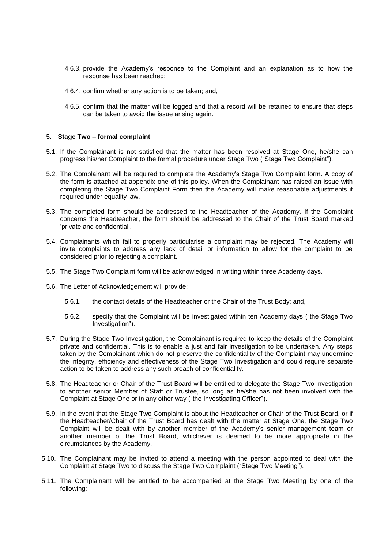- 4.6.3. provide the Academy's response to the Complaint and an explanation as to how the response has been reached;
- 4.6.4. confirm whether any action is to be taken; and,
- 4.6.5. confirm that the matter will be logged and that a record will be retained to ensure that steps can be taken to avoid the issue arising again.

#### 5. **Stage Two – formal complaint**

- 5.1. If the Complainant is not satisfied that the matter has been resolved at Stage One, he/she can progress his/her Complaint to the formal procedure under Stage Two ("Stage Two Complaint").
- 5.2. The Complainant will be required to complete the Academy's Stage Two Complaint form. A copy of the form is attached at appendix one of this policy. When the Complainant has raised an issue with completing the Stage Two Complaint Form then the Academy will make reasonable adjustments if required under equality law.
- 5.3. The completed form should be addressed to the Headteacher of the Academy. If the Complaint concerns the Headteacher, the form should be addressed to the Chair of the Trust Board marked 'private and confidential'.
- 5.4. Complainants which fail to properly particularise a complaint may be rejected. The Academy will invite complaints to address any lack of detail or information to allow for the complaint to be considered prior to rejecting a complaint.
- 5.5. The Stage Two Complaint form will be acknowledged in writing within three Academy days.
- 5.6. The Letter of Acknowledgement will provide:
	- 5.6.1. the contact details of the Headteacher or the Chair of the Trust Body; and,
	- 5.6.2. specify that the Complaint will be investigated within ten Academy days ("the Stage Two Investigation").
- 5.7. During the Stage Two Investigation, the Complainant is required to keep the details of the Complaint private and confidential. This is to enable a just and fair investigation to be undertaken. Any steps taken by the Complainant which do not preserve the confidentiality of the Complaint may undermine the integrity, efficiency and effectiveness of the Stage Two Investigation and could require separate action to be taken to address any such breach of confidentiality.
- 5.8. The Headteacher or Chair of the Trust Board will be entitled to delegate the Stage Two investigation to another senior Member of Staff or Trustee, so long as he/she has not been involved with the Complaint at Stage One or in any other way ("the Investigating Officer").
- 5.9. In the event that the Stage Two Complaint is about the Headteacher or Chair of the Trust Board, or if the Headteacher**/**Chair of the Trust Board has dealt with the matter at Stage One, the Stage Two Complaint will be dealt with by another member of the Academy's senior management team or another member of the Trust Board, whichever is deemed to be more appropriate in the circumstances by the Academy.
- 5.10. The Complainant may be invited to attend a meeting with the person appointed to deal with the Complaint at Stage Two to discuss the Stage Two Complaint ("Stage Two Meeting").
- 5.11. The Complainant will be entitled to be accompanied at the Stage Two Meeting by one of the following: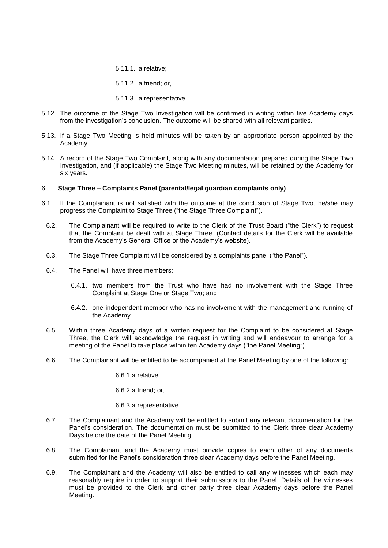5.11.1. a relative;

5.11.2. a friend; or,

5.11.3. a representative.

- 5.12. The outcome of the Stage Two Investigation will be confirmed in writing within five Academy days from the investigation's conclusion. The outcome will be shared with all relevant parties.
- 5.13. If a Stage Two Meeting is held minutes will be taken by an appropriate person appointed by the Academy.
- 5.14. A record of the Stage Two Complaint, along with any documentation prepared during the Stage Two Investigation, and (if applicable) the Stage Two Meeting minutes, will be retained by the Academy for six years**.**

#### 6. **Stage Three – Complaints Panel (parental/legal guardian complaints only)**

- 6.1. If the Complainant is not satisfied with the outcome at the conclusion of Stage Two, he/she may progress the Complaint to Stage Three ("the Stage Three Complaint").
- 6.2. The Complainant will be required to write to the Clerk of the Trust Board ("the Clerk") to request that the Complaint be dealt with at Stage Three. (Contact details for the Clerk will be available from the Academy's General Office or the Academy's website).
- 6.3. The Stage Three Complaint will be considered by a complaints panel ("the Panel").
- 6.4. The Panel will have three members:
	- 6.4.1. two members from the Trust who have had no involvement with the Stage Three Complaint at Stage One or Stage Two; and
	- 6.4.2. one independent member who has no involvement with the management and running of the Academy.
- 6.5. Within three Academy days of a written request for the Complaint to be considered at Stage Three, the Clerk will acknowledge the request in writing and will endeavour to arrange for a meeting of the Panel to take place within ten Academy days ("the Panel Meeting").
- 6.6. The Complainant will be entitled to be accompanied at the Panel Meeting by one of the following:

6.6.1.a relative;

6.6.2.a friend; or,

6.6.3.a representative.

- <span id="page-4-0"></span>6.7. The Complainant and the Academy will be entitled to submit any relevant documentation for the Panel's consideration. The documentation must be submitted to the Clerk three clear Academy Days before the date of the Panel Meeting.
- <span id="page-4-1"></span>6.8. The Complainant and the Academy must provide copies to each other of any documents submitted for the Panel's consideration three clear Academy days before the Panel Meeting.
- <span id="page-4-2"></span>6.9. The Complainant and the Academy will also be entitled to call any witnesses which each may reasonably require in order to support their submissions to the Panel. Details of the witnesses must be provided to the Clerk and other party three clear Academy days before the Panel Meeting.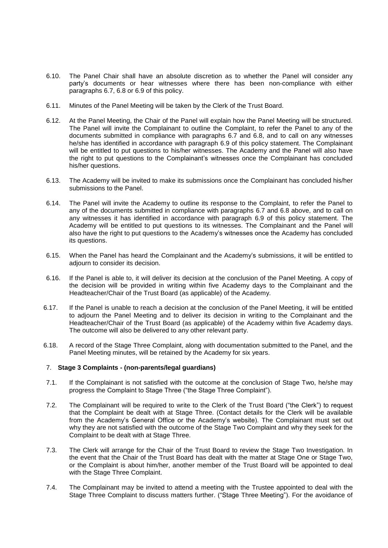- 6.10. The Panel Chair shall have an absolute discretion as to whether the Panel will consider any party's documents or hear witnesses where there has been non-compliance with either paragraphs [6.7,](#page-4-0) [6.8](#page-4-1) or [6.9](#page-4-2) of this policy.
- 6.11. Minutes of the Panel Meeting will be taken by the Clerk of the Trust Board.
- 6.12. At the Panel Meeting, the Chair of the Panel will explain how the Panel Meeting will be structured. The Panel will invite the Complainant to outline the Complaint, to refer the Panel to any of the documents submitted in compliance with paragraphs [6.7](#page-4-0) and [6.8,](#page-4-1) and to call on any witnesses he/she has identified in accordance with paragraph [6.9](#page-4-2) of this policy statement. The Complainant will be entitled to put questions to his/her witnesses. The Academy and the Panel will also have the right to put questions to the Complainant's witnesses once the Complainant has concluded his/her questions.
- 6.13. The Academy will be invited to make its submissions once the Complainant has concluded his/her submissions to the Panel.
- 6.14. The Panel will invite the Academy to outline its response to the Complaint, to refer the Panel to any of the documents submitted in compliance with paragraphs [6.7](#page-4-0) and [6.8](#page-4-1) above, and to call on any witnesses it has identified in accordance with paragraph [6.9](#page-4-2) of this policy statement. The Academy will be entitled to put questions to its witnesses. The Complainant and the Panel will also have the right to put questions to the Academy's witnesses once the Academy has concluded its questions.
- 6.15. When the Panel has heard the Complainant and the Academy's submissions, it will be entitled to adjourn to consider its decision.
- 6.16. If the Panel is able to, it will deliver its decision at the conclusion of the Panel Meeting. A copy of the decision will be provided in writing within five Academy days to the Complainant and the Headteacher/Chair of the Trust Board (as applicable) of the Academy.
- 6.17. If the Panel is unable to reach a decision at the conclusion of the Panel Meeting, it will be entitled to adjourn the Panel Meeting and to deliver its decision in writing to the Complainant and the Headteacher/Chair of the Trust Board (as applicable) of the Academy within five Academy days. The outcome will also be delivered to any other relevant party.
- 6.18. A record of the Stage Three Complaint, along with documentation submitted to the Panel, and the Panel Meeting minutes, will be retained by the Academy for six years.

### 7. **Stage 3 Complaints - (non-parents/legal guardians)**

- 7.1. If the Complainant is not satisfied with the outcome at the conclusion of Stage Two, he/she may progress the Complaint to Stage Three ("the Stage Three Complaint").
- 7.2. The Complainant will be required to write to the Clerk of the Trust Board ("the Clerk") to request that the Complaint be dealt with at Stage Three. (Contact details for the Clerk will be available from the Academy's General Office or the Academy's website). The Complainant must set out why they are not satisfied with the outcome of the Stage Two Complaint and why they seek for the Complaint to be dealt with at Stage Three.
- 7.3. The Clerk will arrange for the Chair of the Trust Board to review the Stage Two Investigation. In the event that the Chair of the Trust Board has dealt with the matter at Stage One or Stage Two, or the Complaint is about him/her, another member of the Trust Board will be appointed to deal with the Stage Three Complaint.
- 7.4. The Complainant may be invited to attend a meeting with the Trustee appointed to deal with the Stage Three Complaint to discuss matters further. ("Stage Three Meeting"). For the avoidance of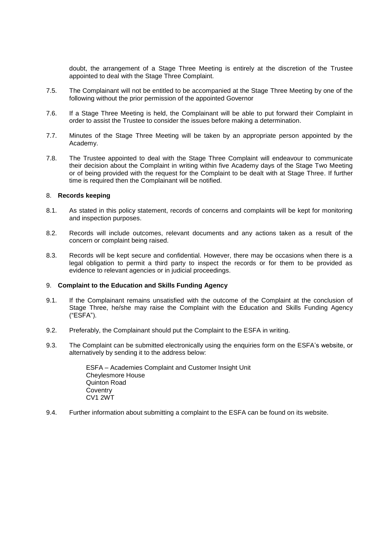doubt, the arrangement of a Stage Three Meeting is entirely at the discretion of the Trustee appointed to deal with the Stage Three Complaint.

- 7.5. The Complainant will not be entitled to be accompanied at the Stage Three Meeting by one of the following without the prior permission of the appointed Governor
- 7.6. If a Stage Three Meeting is held, the Complainant will be able to put forward their Complaint in order to assist the Trustee to consider the issues before making a determination.
- 7.7. Minutes of the Stage Three Meeting will be taken by an appropriate person appointed by the Academy.
- 7.8. The Trustee appointed to deal with the Stage Three Complaint will endeavour to communicate their decision about the Complaint in writing within five Academy days of the Stage Two Meeting or of being provided with the request for the Complaint to be dealt with at Stage Three. If further time is required then the Complainant will be notified.

#### 8. **Records keeping**

- 8.1. As stated in this policy statement, records of concerns and complaints will be kept for monitoring and inspection purposes.
- 8.2. Records will include outcomes, relevant documents and any actions taken as a result of the concern or complaint being raised.
- 8.3. Records will be kept secure and confidential. However, there may be occasions when there is a legal obligation to permit a third party to inspect the records or for them to be provided as evidence to relevant agencies or in judicial proceedings.

#### 9. **Complaint to the Education and Skills Funding Agency**

- 9.1. If the Complainant remains unsatisfied with the outcome of the Complaint at the conclusion of Stage Three, he/she may raise the Complaint with the Education and Skills Funding Agency ("ESFA").
- 9.2. Preferably, the Complainant should put the Complaint to the ESFA in writing.
- 9.3. The Complaint can be submitted electronically using the enquiries form on the ESFA's website, or alternatively by sending it to the address below:

ESFA – Academies Complaint and Customer Insight Unit Cheylesmore House Quinton Road **Coventry** CV1 2WT

9.4. Further information about submitting a complaint to the ESFA can be found on its website.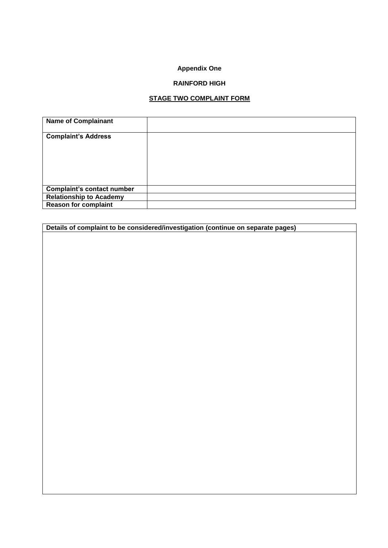# **Appendix One**

## **RAINFORD HIGH**

# **STAGE TWO COMPLAINT FORM**

| <b>Name of Complainant</b>        |  |
|-----------------------------------|--|
| <b>Complaint's Address</b>        |  |
|                                   |  |
|                                   |  |
|                                   |  |
| <b>Complaint's contact number</b> |  |
| <b>Relationship to Academy</b>    |  |
| <b>Reason for complaint</b>       |  |

**Details of complaint to be considered/investigation (continue on separate pages)**